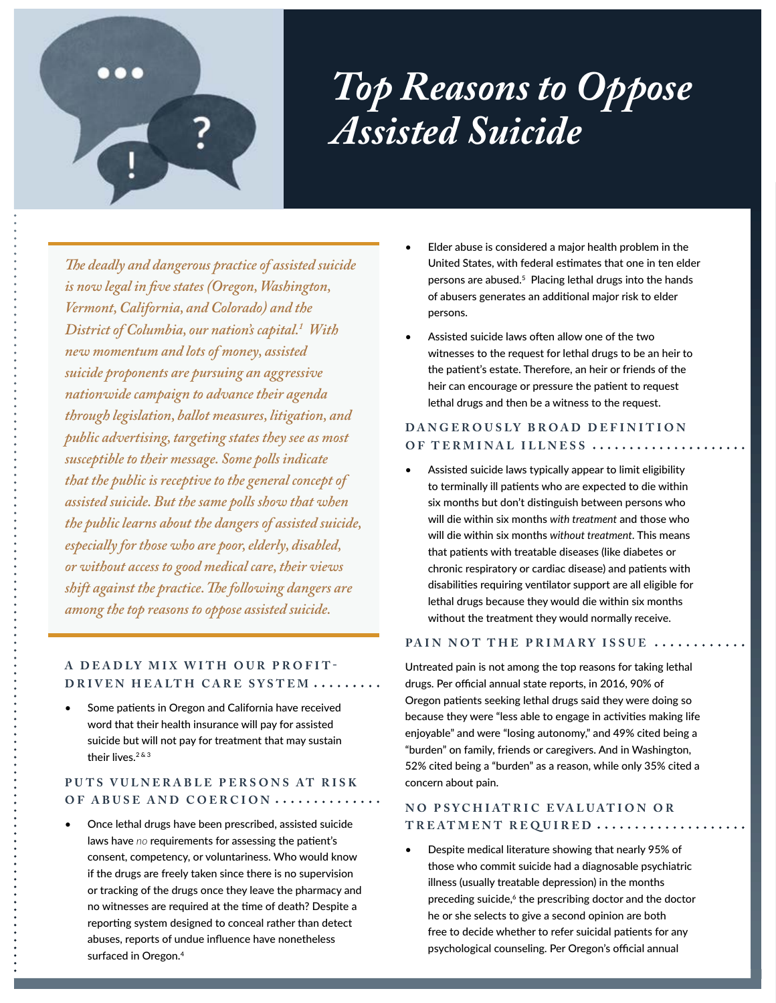

*The deadly and dangerous practice of assisted suicide is now legal in five states (Oregon, Washington, Vermont, California, and Colorado) and the District of Columbia, our nation's capital.1 With new momentum and lots of money, assisted suicide proponents are pursuing an aggressive nationwide campaign to advance their agenda through legislation, ballot measures, litigation, and public advertising, targeting states they see as most susceptible to their message. Some polls indicate that the public is receptive to the general concept of assisted suicide. But the same polls show that when the public learns about the dangers of assisted suicide, especially for those who are poor, elderly, disabled, or without access to good medical care, their views shift against the practice. The following dangers are among the top reasons to oppose assisted suicide.*

### **A DEADLY MIX WITH OUR PROFIT-DRIVEN HEALTH CARE SYSTEM .........**

Some patients in Oregon and California have received word that their health insurance will pay for assisted suicide but will not pay for treatment that may sustain their lives  $283$ 

# PUTS VULNERABLE PERSONS AT RISK **OF ABUSE AND COERCION**

• Once lethal drugs have been prescribed, assisted suicide laws have *no* requirements for assessing the patient's consent, competency, or voluntariness. Who would know if the drugs are freely taken since there is no supervision or tracking of the drugs once they leave the pharmacy and no witnesses are required at the time of death? Despite a reporting system designed to conceal rather than detect abuses, reports of undue influence have nonetheless surfaced in Oregon.<sup>4</sup>

- Elder abuse is considered a major health problem in the United States, with federal estimates that one in ten elder persons are abused.<sup>5</sup> Placing lethal drugs into the hands of abusers generates an additional major risk to elder persons.
- Assisted suicide laws often allow one of the two witnesses to the request for lethal drugs to be an heir to the patient's estate. Therefore, an heir or friends of the heir can encourage or pressure the patient to request lethal drugs and then be a witness to the request.

# **DANGEROUSLY BROAD DEFINITION OF TERMINAL ILLNESS**

• Assisted suicide laws typically appear to limit eligibility to terminally ill patients who are expected to die within six months but don't distinguish between persons who will die within six months *with treatment* and those who will die within six months *without treatment*. This means that patients with treatable diseases (like diabetes or chronic respiratory or cardiac disease) and patients with disabilities requiring ventilator support are all eligible for lethal drugs because they would die within six months without the treatment they would normally receive.

#### **PAIN NOT THE PRIMARY ISSUE**

Untreated pain is not among the top reasons for taking lethal drugs. Per official annual state reports, in 2016, 90% of Oregon patients seeking lethal drugs said they were doing so because they were "less able to engage in activities making life enjoyable" and were "losing autonomy," and 49% cited being a "burden" on family, friends or caregivers. And in Washington, 52% cited being a "burden" as a reason, while only 35% cited a concern about pain.

## **NO PSYCHIATRIC EVALUATION OR TREAT MENT REQUIRED**

• Despite medical literature showing that nearly 95% of those who commit suicide had a diagnosable psychiatric illness (usually treatable depression) in the months preceding suicide,<sup>6</sup> the prescribing doctor and the doctor he or she selects to give a second opinion are both free to decide whether to refer suicidal patients for any psychological counseling. Per Oregon's official annual